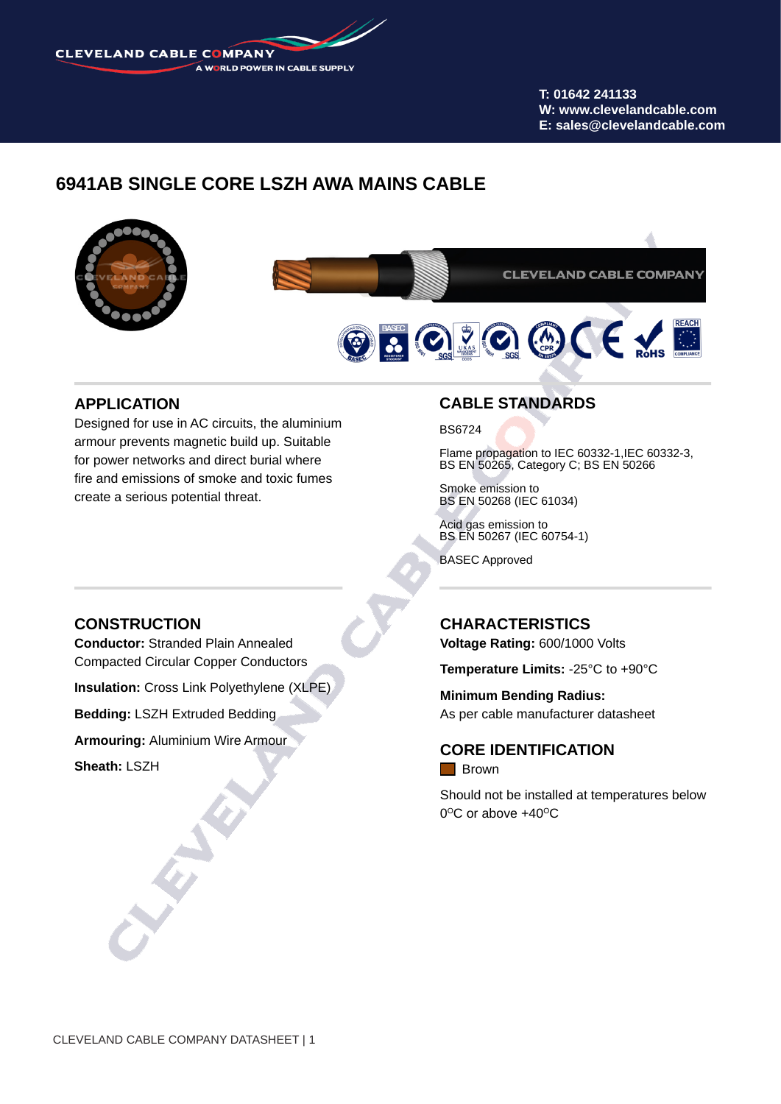CLEVELAND CABLE COMPANY A WORLD POWER IN CABLE SUPPLY

> **T: 01642 241133 W: www.clevelandcable.com E: sales@clevelandcable.com**

# **6941AB SINGLE CORE LSZH AWA MAINS CABLE**



#### **APPLICATION**

Designed for use in AC circuits, the aluminium armour prevents magnetic build up. Suitable for power networks and direct burial where fire and emissions of smoke and toxic fumes create a serious potential threat.

### **CONSTRUCTION**

**Conductor:** Stranded Plain Annealed Compacted Circular Copper Conductors

**Insulation:** Cross Link Polyethylene (XLPE)

**Bedding:** LSZH Extruded Bedding

**Armouring:** Aluminium Wire Armour

**Sheath:** LSZH

### **CABLE STANDARDS**

BS6724

Flame propagation to IEC 60332-1,IEC 60332-3, BS EN 50265, Category C; BS EN 50266

Smoke emission to BS EN 50268 (IEC 61034)

Acid gas emission to BS EN 50267 (IEC 60754-1)

BASEC Approved

### **CHARACTERISTICS**

**Voltage Rating:** 600/1000 Volts

**Temperature Limits:** -25°C to +90°C

**Minimum Bending Radius:** As per cable manufacturer datasheet

**CORE IDENTIFICATION Brown** 

Should not be installed at temperatures below  $0^{\circ}$ C or above  $+40^{\circ}$ C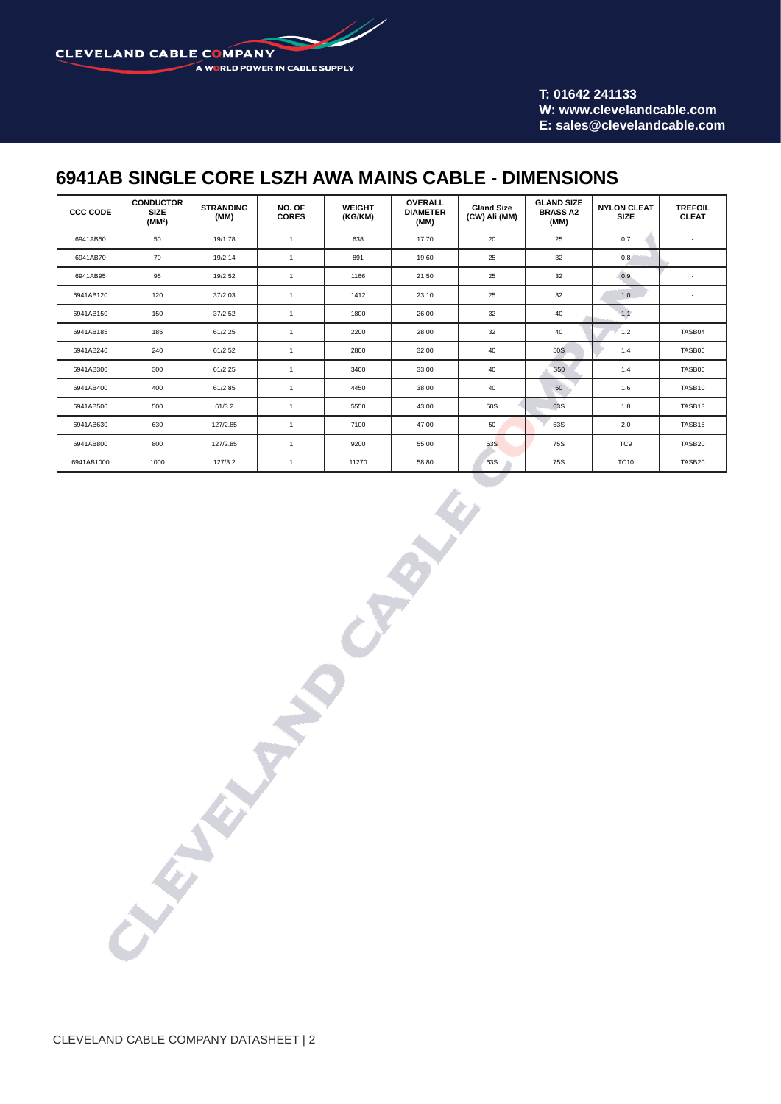**CLEVELAND CABLE COMPANY** A WORLD POWER IN CABLE SUPPLY

> **T: 01642 241133 W: www.clevelandcable.com E: sales@clevelandcable.com**

## **6941AB SINGLE CORE LSZH AWA MAINS CABLE - DIMENSIONS**

| <b>CCC CODE</b> | <b>CONDUCTOR</b><br><b>SIZE</b><br>(MM <sup>2</sup> ) | <b>STRANDING</b><br>(MM) | NO. OF<br><b>CORES</b> | <b>WEIGHT</b><br>(KG/KM) | <b>OVERALL</b><br><b>DIAMETER</b><br>(MM) | <b>Gland Size</b><br>(CW) Ali (MM) | <b>GLAND SIZE</b><br><b>BRASS A2</b><br>(MM) | <b>NYLON CLEAT</b><br><b>SIZE</b> | <b>TREFOIL</b><br><b>CLEAT</b> |  |
|-----------------|-------------------------------------------------------|--------------------------|------------------------|--------------------------|-------------------------------------------|------------------------------------|----------------------------------------------|-----------------------------------|--------------------------------|--|
| 6941AB50        | 50                                                    | 19/1.78                  | $\mathbf{1}$           | 638                      | 17.70                                     | 20                                 | 0.7<br>25                                    |                                   | $\sim$                         |  |
| 6941AB70        | 70                                                    | 19/2.14                  | 1                      | 891                      | 19.60                                     | 25                                 | 32                                           | 0.8                               | ٠                              |  |
| 6941AB95        | 95                                                    | 19/2.52                  | 1                      | 1166                     | 21.50                                     | 25                                 | 32                                           | 0.9                               | $\overline{\phantom{a}}$       |  |
| 6941AB120       | 120                                                   | 37/2.03                  | $\mathbf{1}$           | 1412                     | 23.10                                     | 25                                 | 32                                           | 1.0                               | ٠                              |  |
| 6941AB150       | 150                                                   | 37/2.52                  | $\mathbf{1}$           | 1800                     | 26.00                                     | 32                                 | 40                                           | 1.1                               | ٠                              |  |
| 6941AB185       | 185                                                   | 61/2.25                  | 1                      | 2200                     | 28.00                                     | 32                                 | 40                                           | 1.2                               | TASB04                         |  |
| 6941AB240       | 240                                                   | 61/2.52                  | $\mathbf{1}$           | 2800                     | 32.00                                     | 40                                 | 50S                                          | 1.4                               | TASB06                         |  |
| 6941AB300       | 300                                                   | 61/2.25                  | 1                      | 3400                     | 33.00                                     | 40                                 | S50                                          | 1.4                               | TASB06                         |  |
| 6941AB400       | 400                                                   | 61/2.85                  | $\mathbf{1}$           | 4450                     | 38.00                                     | 40                                 | 50                                           | 1.6                               | TASB10                         |  |
| 6941AB500       | 500                                                   | 61/3.2                   | 1                      | 5550                     | 43.00                                     | 50S                                | 63S                                          | 1.8                               | TASB13                         |  |
| 6941AB630       | 630                                                   | 127/2.85                 | $\mathbf{1}$           | 7100                     | 47.00                                     | 50                                 | 63S                                          | 2.0                               | TASB15                         |  |
| 6941AB800       | 800                                                   | 127/2.85                 | $\mathbf{1}$           | 9200                     | 55.00                                     | 63S                                | 75S                                          | TC <sub>9</sub>                   | TASB20                         |  |
| 6941AB1000      | 1000                                                  | 127/3.2                  | 1                      | 11270                    | 58.80                                     | 63S                                | 75S                                          | <b>TC10</b>                       | TASB20                         |  |